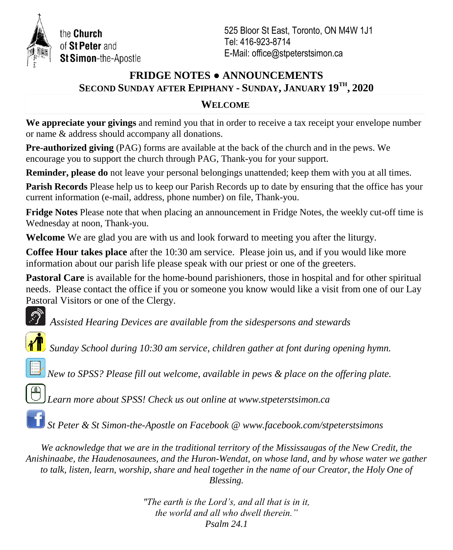

the Church of St Peter and St Simon-the-Apostle

525 Bloor St East, Toronto, ON M4W 1J1 Tel: 416-923-8714 E-Mail: office@stpeterstsimon.ca

# **FRIDGE NOTES ● ANNOUNCEMENTS SECOND SUNDAY AFTER EPIPHANY - SUNDAY, JANUARY 19TH , 2020**

### **WELCOME**

**We appreciate your givings** and remind you that in order to receive a tax receipt your envelope number or name & address should accompany all donations.

**Pre-authorized giving** (PAG) forms are available at the back of the church and in the pews. We encourage you to support the church through PAG, Thank-you for your support.

**Reminder, please do** not leave your personal belongings unattended; keep them with you at all times.

**Parish Records** Please help us to keep our Parish Records up to date by ensuring that the office has your current information (e-mail, address, phone number) on file, Thank-you.

**Fridge Notes** Please note that when placing an announcement in Fridge Notes, the weekly cut-off time is Wednesday at noon, Thank-you.

**Welcome** We are glad you are with us and look forward to meeting you after the liturgy.

**Coffee Hour takes place** after the 10:30 am service. Please join us, and if you would like more information about our parish life please speak with our priest or one of the greeters.

**Pastoral Care** is available for the home-bound parishioners, those in hospital and for other spiritual needs. Please contact the office if you or someone you know would like a visit from one of our Lay Pastoral Visitors or one of the Clergy.

*Assisted Hearing Devices are available from the sidespersons and stewards*



*Sunday School during 10:30 am service, children gather at font during opening hymn.*



*New to SPSS? Please fill out welcome, available in pews & place on the offering plate.*



*Learn more about SPSS! Check us out online at www.stpeterstsimon.ca*

*St Peter & St Simon-the-Apostle on Facebook @ www.facebook.com/stpeterstsimons*

*We acknowledge that we are in the traditional territory of the Mississaugas of the New Credit, the Anishinaabe, the Haudenosaunees, and the Huron-Wendat, on whose land, and by whose water we gather to talk, listen, learn, worship, share and heal together in the name of our Creator, the Holy One of Blessing.*

> *"The earth is the Lord's, and all that is in it, the world and all who dwell therein." Psalm 24.1*